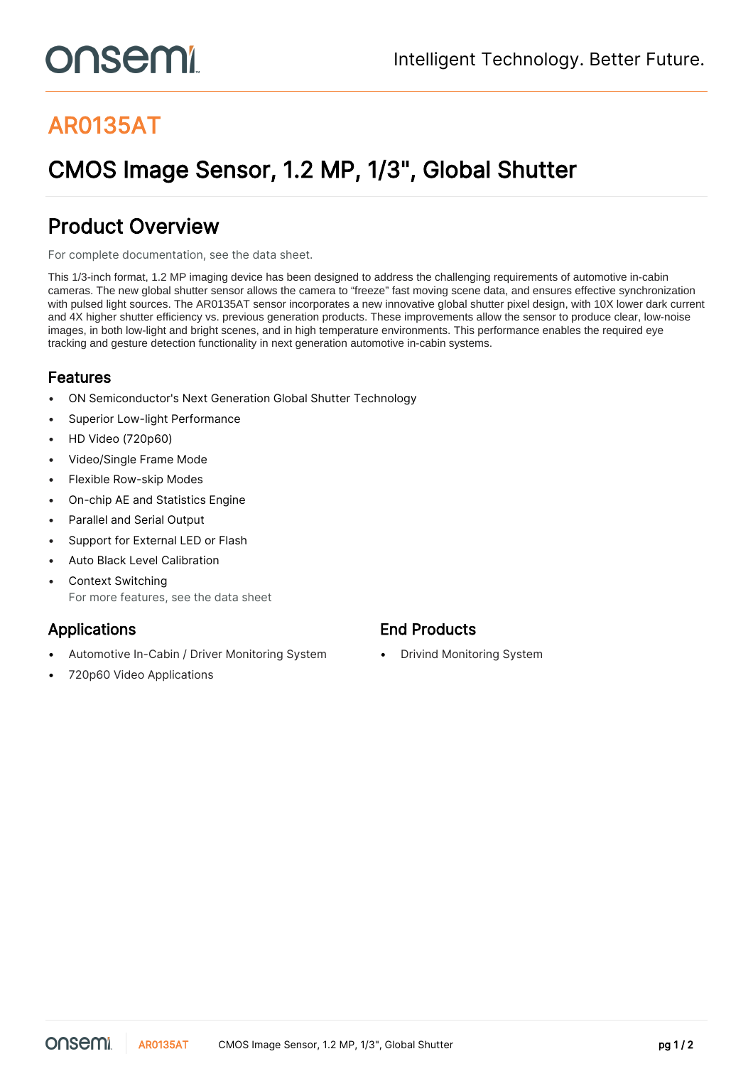# onsemi

# AR0135AT

# CMOS Image Sensor, 1.2 MP, 1/3", Global Shutter

### Product Overview

For complete documentation, see the [data sheet.](https://www.onsemi.com/PowerSolutions/product.do?id=AR0135AT)

This 1/3-inch format, 1.2 MP imaging device has been designed to address the challenging requirements of automotive in-cabin cameras. The new global shutter sensor allows the camera to "freeze" fast moving scene data, and ensures effective synchronization with pulsed light sources. The AR0135AT sensor incorporates a new innovative global shutter pixel design, with 10X lower dark current and 4X higher shutter efficiency vs. previous generation products. These improvements allow the sensor to produce clear, low-noise images, in both low-light and bright scenes, and in high temperature environments. This performance enables the required eye tracking and gesture detection functionality in next generation automotive in-cabin systems.

#### Features

- ON Semiconductor's Next Generation Global Shutter Technology
- Superior Low-light Performance
- HD Video (720p60)
- Video/Single Frame Mode
- Flexible Row-skip Modes
- On-chip AE and Statistics Engine
- Parallel and Serial Output
- Support for External LED or Flash
- Auto Black Level Calibration
- Context Switching For more features, see the [data sheet](https://www.onsemi.com/PowerSolutions/product.do?id=AR0135AT)

- Automotive In-Cabin / Driver Monitoring System Drivind Monitoring System
- 720p60 Video Applications

#### Applications **End Products**